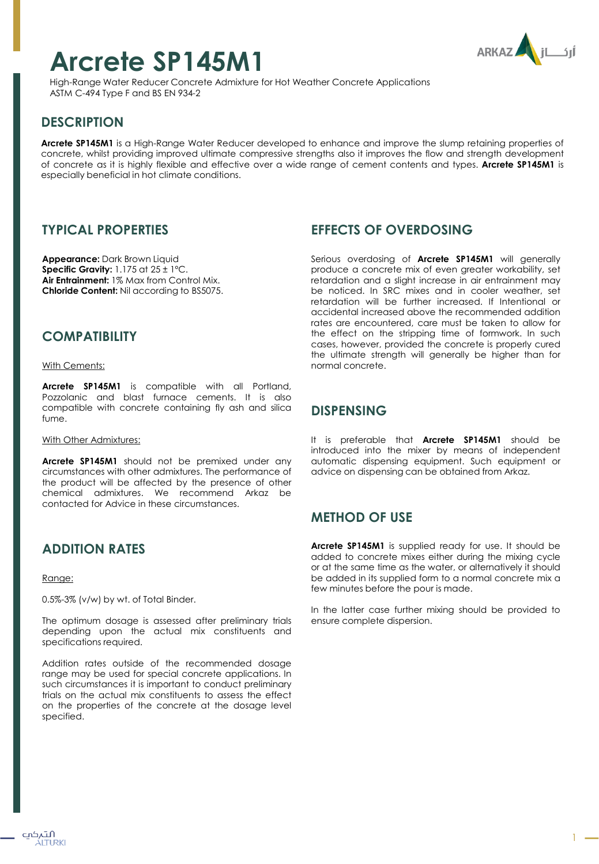# **Arcrete SP145M1**



High-Range Water Reducer Concrete Admixture for Hot Weather Concrete Applications ASTM C-494 Type F and BS EN 934-2

# **DESCRIPTION**

**Arcrete SP145M1** is a High-Range Water Reducer developed to enhance and improve the slump retaining properties of concrete, whilst providing improved ultimate compressive strengths also it improves the flow and strength development of concrete as it is highly flexible and effective over a wide range of cement contents and types. **Arcrete SP145M1** is especially beneficial in hot climate conditions.

#### **TYPICAL PROPERTIES**

**Appearance:** Dark Brown Liquid **Specific Gravity:** 1.175 at 25 ± 1ºC. **Air Entrainment:** 1% Max from Control Mix. **Chloride Content:** Nil according to BS5075.

#### **COMPATIBILITY**

With Cements:

**Arcrete SP145M1** is compatible with all Portland, Pozzolanic and blast furnace cements. It is also compatible with concrete containing fly ash and silica fume.

With Other Admixtures:

**Arcrete SP145M1** should not be premixed under any circumstances with other admixtures. The performance of the product will be affected by the presence of other chemical admixtures. We recommend Arkaz be contacted for Advice in these circumstances.

## **ADDITION RATES**

Range:

0.5%-3% (v/w) by wt. of Total Binder.

The optimum dosage is assessed after preliminary trials depending upon the actual mix constituents and specifications required.

Addition rates outside of the recommended dosage range may be used for special concrete applications. In such circumstances it is important to conduct preliminary trials on the actual mix constituents to assess the effect on the properties of the concrete at the dosage level specified.

## **EFFECTS OF OVERDOSING**

Serious overdosing of **Arcrete SP145M1** will generally produce a concrete mix of even greater workability, set retardation and a slight increase in air entrainment may be noticed. In SRC mixes and in cooler weather, set retardation will be further increased. If Intentional or accidental increased above the recommended addition rates are encountered, care must be taken to allow for the effect on the stripping time of formwork. In such cases, however, provided the concrete is properly cured the ultimate strength will generally be higher than for normal concrete.

#### **DISPENSING**

It is preferable that **Arcrete SP145M1** should be introduced into the mixer by means of independent automatic dispensing equipment. Such equipment or advice on dispensing can be obtained from Arkaz.

## **METHOD OF USE**

**Arcrete SP145M1** is supplied ready for use. It should be added to concrete mixes either during the mixing cycle or at the same time as the water, or alternatively it should be added in its supplied form to a normal concrete mix a few minutes before the pour is made.

In the latter case further mixing should be provided to ensure complete dispersion.